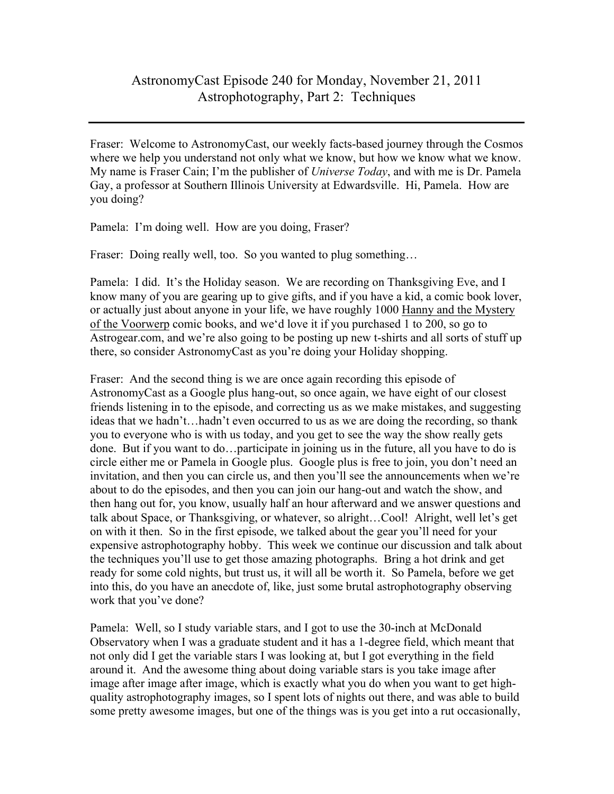## AstronomyCast Episode 240 for Monday, November 21, 2011 Astrophotography, Part 2: Techniques

Fraser: Welcome to AstronomyCast, our weekly facts-based journey through the Cosmos where we help you understand not only what we know, but how we know what we know. My name is Fraser Cain; I'm the publisher of *Universe Today*, and with me is Dr. Pamela Gay, a professor at Southern Illinois University at Edwardsville. Hi, Pamela. How are you doing?

Pamela: I'm doing well. How are you doing, Fraser?

Fraser: Doing really well, too. So you wanted to plug something...

Pamela: I did. It's the Holiday season. We are recording on Thanksgiving Eve, and I know many of you are gearing up to give gifts, and if you have a kid, a comic book lover, or actually just about anyone in your life, we have roughly 1000 Hanny and the Mystery of the Voorwerp comic books, and we'd love it if you purchased 1 to 200, so go to Astrogear.com, and we're also going to be posting up new t-shirts and all sorts of stuff up there, so consider AstronomyCast as you're doing your Holiday shopping.

Fraser: And the second thing is we are once again recording this episode of AstronomyCast as a Google plus hang-out, so once again, we have eight of our closest friends listening in to the episode, and correcting us as we make mistakes, and suggesting ideas that we hadn't…hadn't even occurred to us as we are doing the recording, so thank you to everyone who is with us today, and you get to see the way the show really gets done. But if you want to do…participate in joining us in the future, all you have to do is circle either me or Pamela in Google plus. Google plus is free to join, you don't need an invitation, and then you can circle us, and then you'll see the announcements when we're about to do the episodes, and then you can join our hang-out and watch the show, and then hang out for, you know, usually half an hour afterward and we answer questions and talk about Space, or Thanksgiving, or whatever, so alright…Cool! Alright, well let's get on with it then. So in the first episode, we talked about the gear you'll need for your expensive astrophotography hobby. This week we continue our discussion and talk about the techniques you'll use to get those amazing photographs. Bring a hot drink and get ready for some cold nights, but trust us, it will all be worth it. So Pamela, before we get into this, do you have an anecdote of, like, just some brutal astrophotography observing work that you've done?

Pamela: Well, so I study variable stars, and I got to use the 30-inch at McDonald Observatory when I was a graduate student and it has a 1-degree field, which meant that not only did I get the variable stars I was looking at, but I got everything in the field around it. And the awesome thing about doing variable stars is you take image after image after image after image, which is exactly what you do when you want to get highquality astrophotography images, so I spent lots of nights out there, and was able to build some pretty awesome images, but one of the things was is you get into a rut occasionally,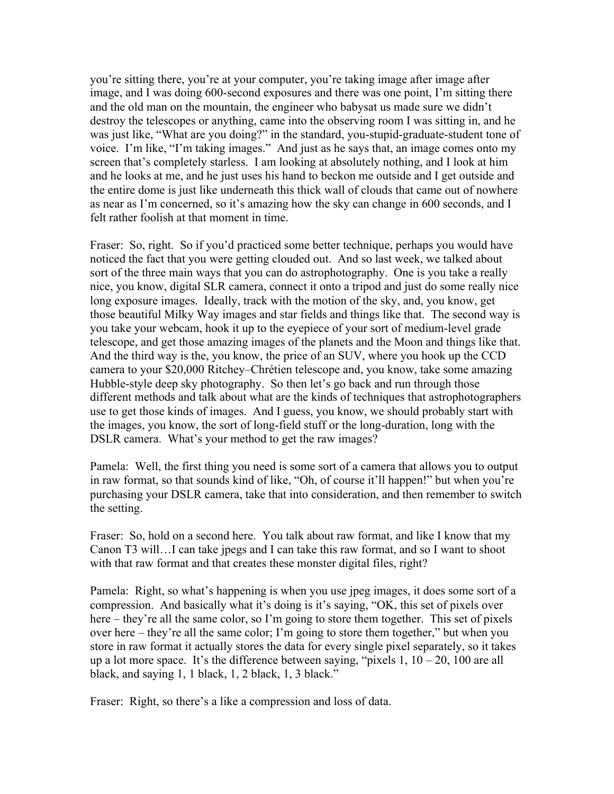you're sitting there, you're at your computer, you're taking image after image after image, and I was doing 600-second exposures and there was one point, I'm sitting there and the old man on the mountain, the engineer who babysat us made sure we didn't destroy the telescopes or anything, came into the observing room I was sitting in, and he was just like, "What are you doing?" in the standard, you-stupid-graduate-student tone of voice. I'm like, "I'm taking images." And just as he says that, an image comes onto my screen that's completely starless. I am looking at absolutely nothing, and I look at him and he looks at me, and he just uses his hand to beckon me outside and I get outside and the entire dome is just like underneath this thick wall of clouds that came out of nowhere as near as I'm concerned, so it's amazing how the sky can change in 600 seconds, and I felt rather foolish at that moment in time.

Fraser: So, right. So if you'd practiced some better technique, perhaps you would have noticed the fact that you were getting clouded out. And so last week, we talked about sort of the three main ways that you can do astrophotography. One is you take a really nice, you know, digital SLR camera, connect it onto a tripod and just do some really nice long exposure images. Ideally, track with the motion of the sky, and, you know, get those beautiful Milky Way images and star fields and things like that. The second way is you take your webcam, hook it up to the eyepiece of your sort of medium-level grade telescope, and get those amazing images of the planets and the Moon and things like that. And the third way is the, you know, the price of an SUV, where you hook up the CCD camera to your \$20,000 Ritchey–Chrétien telescope and, you know, take some amazing Hubble-style deep sky photography. So then let's go back and run through those different methods and talk about what are the kinds of techniques that astrophotographers use to get those kinds of images. And I guess, you know, we should probably start with the images, you know, the sort of long-field stuff or the long-duration, long with the DSLR camera. What's your method to get the raw images?

Pamela: Well, the first thing you need is some sort of a camera that allows you to output in raw format, so that sounds kind of like, "Oh, of course it'll happen!" but when you're purchasing your DSLR camera, take that into consideration, and then remember to switch the setting.

Fraser: So, hold on a second here. You talk about raw format, and like I know that my Canon T3 will…I can take jpegs and I can take this raw format, and so I want to shoot with that raw format and that creates these monster digital files, right?

Pamela: Right, so what's happening is when you use jpeg images, it does some sort of a compression. And basically what it's doing is it's saying, "OK, this set of pixels over here – they're all the same color, so I'm going to store them together. This set of pixels over here – they're all the same color; I'm going to store them together," but when you store in raw format it actually stores the data for every single pixel separately, so it takes up a lot more space. It's the difference between saying, "pixels  $1, 10 - 20, 100$  are all black, and saying 1, 1 black, 1, 2 black, 1, 3 black."

Fraser: Right, so there's a like a compression and loss of data.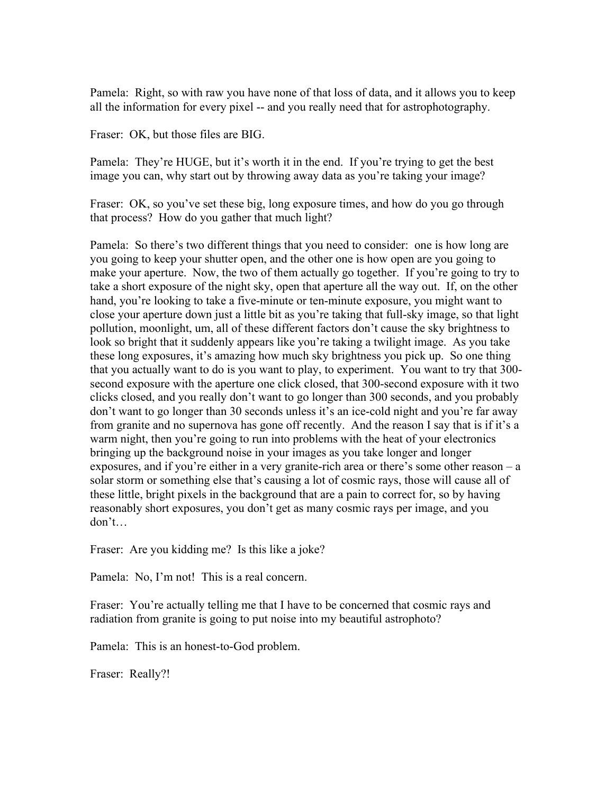Pamela: Right, so with raw you have none of that loss of data, and it allows you to keep all the information for every pixel -- and you really need that for astrophotography.

Fraser: OK, but those files are BIG.

Pamela: They're HUGE, but it's worth it in the end. If you're trying to get the best image you can, why start out by throwing away data as you're taking your image?

Fraser: OK, so you've set these big, long exposure times, and how do you go through that process? How do you gather that much light?

Pamela: So there's two different things that you need to consider: one is how long are you going to keep your shutter open, and the other one is how open are you going to make your aperture. Now, the two of them actually go together. If you're going to try to take a short exposure of the night sky, open that aperture all the way out. If, on the other hand, you're looking to take a five-minute or ten-minute exposure, you might want to close your aperture down just a little bit as you're taking that full-sky image, so that light pollution, moonlight, um, all of these different factors don't cause the sky brightness to look so bright that it suddenly appears like you're taking a twilight image. As you take these long exposures, it's amazing how much sky brightness you pick up. So one thing that you actually want to do is you want to play, to experiment. You want to try that 300 second exposure with the aperture one click closed, that 300-second exposure with it two clicks closed, and you really don't want to go longer than 300 seconds, and you probably don't want to go longer than 30 seconds unless it's an ice-cold night and you're far away from granite and no supernova has gone off recently. And the reason I say that is if it's a warm night, then you're going to run into problems with the heat of your electronics bringing up the background noise in your images as you take longer and longer exposures, and if you're either in a very granite-rich area or there's some other reason – a solar storm or something else that's causing a lot of cosmic rays, those will cause all of these little, bright pixels in the background that are a pain to correct for, so by having reasonably short exposures, you don't get as many cosmic rays per image, and you don't…

Fraser: Are you kidding me? Is this like a joke?

Pamela: No, I'm not! This is a real concern.

Fraser: You're actually telling me that I have to be concerned that cosmic rays and radiation from granite is going to put noise into my beautiful astrophoto?

Pamela: This is an honest-to-God problem.

Fraser: Really?!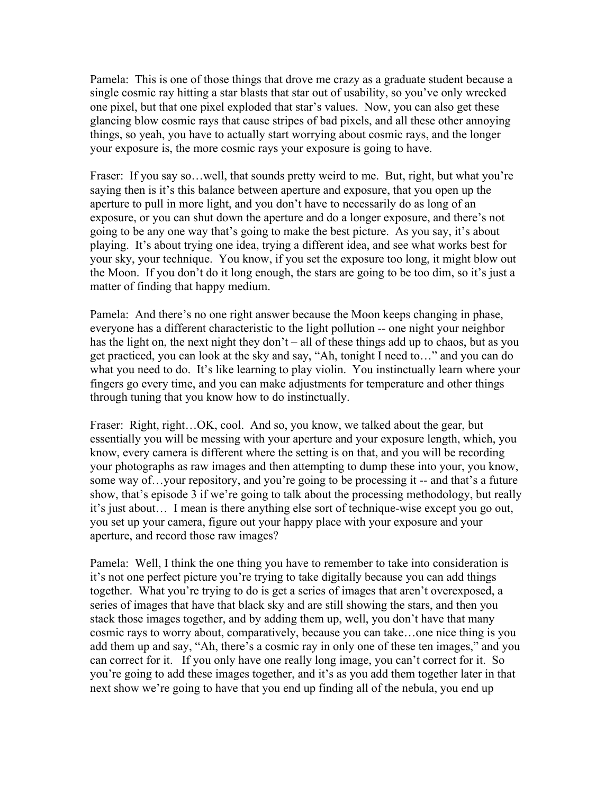Pamela: This is one of those things that drove me crazy as a graduate student because a single cosmic ray hitting a star blasts that star out of usability, so you've only wrecked one pixel, but that one pixel exploded that star's values. Now, you can also get these glancing blow cosmic rays that cause stripes of bad pixels, and all these other annoying things, so yeah, you have to actually start worrying about cosmic rays, and the longer your exposure is, the more cosmic rays your exposure is going to have.

Fraser: If you say so... well, that sounds pretty weird to me. But, right, but what you're saying then is it's this balance between aperture and exposure, that you open up the aperture to pull in more light, and you don't have to necessarily do as long of an exposure, or you can shut down the aperture and do a longer exposure, and there's not going to be any one way that's going to make the best picture. As you say, it's about playing. It's about trying one idea, trying a different idea, and see what works best for your sky, your technique. You know, if you set the exposure too long, it might blow out the Moon. If you don't do it long enough, the stars are going to be too dim, so it's just a matter of finding that happy medium.

Pamela: And there's no one right answer because the Moon keeps changing in phase, everyone has a different characteristic to the light pollution -- one night your neighbor has the light on, the next night they don't – all of these things add up to chaos, but as you get practiced, you can look at the sky and say, "Ah, tonight I need to…" and you can do what you need to do. It's like learning to play violin. You instinctually learn where your fingers go every time, and you can make adjustments for temperature and other things through tuning that you know how to do instinctually.

Fraser: Right, right…OK, cool. And so, you know, we talked about the gear, but essentially you will be messing with your aperture and your exposure length, which, you know, every camera is different where the setting is on that, and you will be recording your photographs as raw images and then attempting to dump these into your, you know, some way of…your repository, and you're going to be processing it -- and that's a future show, that's episode 3 if we're going to talk about the processing methodology, but really it's just about… I mean is there anything else sort of technique-wise except you go out, you set up your camera, figure out your happy place with your exposure and your aperture, and record those raw images?

Pamela: Well, I think the one thing you have to remember to take into consideration is it's not one perfect picture you're trying to take digitally because you can add things together. What you're trying to do is get a series of images that aren't overexposed, a series of images that have that black sky and are still showing the stars, and then you stack those images together, and by adding them up, well, you don't have that many cosmic rays to worry about, comparatively, because you can take…one nice thing is you add them up and say, "Ah, there's a cosmic ray in only one of these ten images," and you can correct for it. If you only have one really long image, you can't correct for it. So you're going to add these images together, and it's as you add them together later in that next show we're going to have that you end up finding all of the nebula, you end up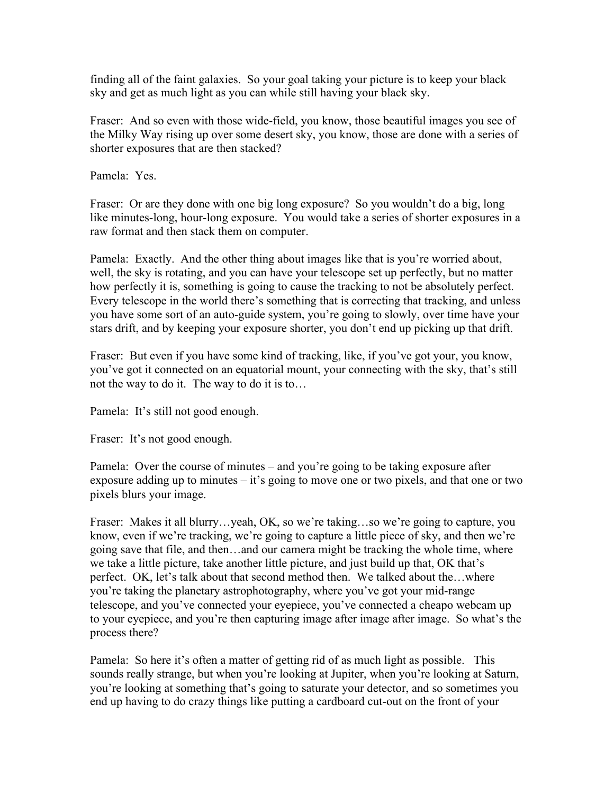finding all of the faint galaxies. So your goal taking your picture is to keep your black sky and get as much light as you can while still having your black sky.

Fraser: And so even with those wide-field, you know, those beautiful images you see of the Milky Way rising up over some desert sky, you know, those are done with a series of shorter exposures that are then stacked?

Pamela: Yes.

Fraser: Or are they done with one big long exposure? So you wouldn't do a big, long like minutes-long, hour-long exposure. You would take a series of shorter exposures in a raw format and then stack them on computer.

Pamela: Exactly. And the other thing about images like that is you're worried about, well, the sky is rotating, and you can have your telescope set up perfectly, but no matter how perfectly it is, something is going to cause the tracking to not be absolutely perfect. Every telescope in the world there's something that is correcting that tracking, and unless you have some sort of an auto-guide system, you're going to slowly, over time have your stars drift, and by keeping your exposure shorter, you don't end up picking up that drift.

Fraser: But even if you have some kind of tracking, like, if you've got your, you know, you've got it connected on an equatorial mount, your connecting with the sky, that's still not the way to do it. The way to do it is to…

Pamela: It's still not good enough.

Fraser: It's not good enough.

Pamela: Over the course of minutes – and you're going to be taking exposure after exposure adding up to minutes – it's going to move one or two pixels, and that one or two pixels blurs your image.

Fraser: Makes it all blurry...yeah, OK, so we're taking...so we're going to capture, you know, even if we're tracking, we're going to capture a little piece of sky, and then we're going save that file, and then…and our camera might be tracking the whole time, where we take a little picture, take another little picture, and just build up that, OK that's perfect. OK, let's talk about that second method then. We talked about the…where you're taking the planetary astrophotography, where you've got your mid-range telescope, and you've connected your eyepiece, you've connected a cheapo webcam up to your eyepiece, and you're then capturing image after image after image. So what's the process there?

Pamela: So here it's often a matter of getting rid of as much light as possible. This sounds really strange, but when you're looking at Jupiter, when you're looking at Saturn, you're looking at something that's going to saturate your detector, and so sometimes you end up having to do crazy things like putting a cardboard cut-out on the front of your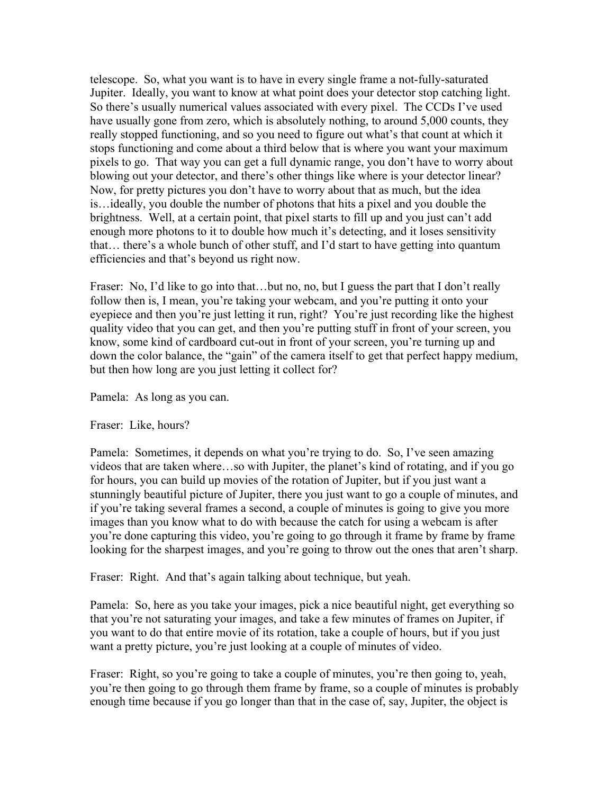telescope. So, what you want is to have in every single frame a not-fully-saturated Jupiter. Ideally, you want to know at what point does your detector stop catching light. So there's usually numerical values associated with every pixel. The CCDs I've used have usually gone from zero, which is absolutely nothing, to around 5,000 counts, they really stopped functioning, and so you need to figure out what's that count at which it stops functioning and come about a third below that is where you want your maximum pixels to go. That way you can get a full dynamic range, you don't have to worry about blowing out your detector, and there's other things like where is your detector linear? Now, for pretty pictures you don't have to worry about that as much, but the idea is…ideally, you double the number of photons that hits a pixel and you double the brightness. Well, at a certain point, that pixel starts to fill up and you just can't add enough more photons to it to double how much it's detecting, and it loses sensitivity that… there's a whole bunch of other stuff, and I'd start to have getting into quantum efficiencies and that's beyond us right now.

Fraser: No, I'd like to go into that...but no, no, but I guess the part that I don't really follow then is, I mean, you're taking your webcam, and you're putting it onto your eyepiece and then you're just letting it run, right? You're just recording like the highest quality video that you can get, and then you're putting stuff in front of your screen, you know, some kind of cardboard cut-out in front of your screen, you're turning up and down the color balance, the "gain" of the camera itself to get that perfect happy medium, but then how long are you just letting it collect for?

Pamela: As long as you can.

Fraser: Like, hours?

Pamela: Sometimes, it depends on what you're trying to do. So, I've seen amazing videos that are taken where…so with Jupiter, the planet's kind of rotating, and if you go for hours, you can build up movies of the rotation of Jupiter, but if you just want a stunningly beautiful picture of Jupiter, there you just want to go a couple of minutes, and if you're taking several frames a second, a couple of minutes is going to give you more images than you know what to do with because the catch for using a webcam is after you're done capturing this video, you're going to go through it frame by frame by frame looking for the sharpest images, and you're going to throw out the ones that aren't sharp.

Fraser: Right. And that's again talking about technique, but yeah.

Pamela: So, here as you take your images, pick a nice beautiful night, get everything so that you're not saturating your images, and take a few minutes of frames on Jupiter, if you want to do that entire movie of its rotation, take a couple of hours, but if you just want a pretty picture, you're just looking at a couple of minutes of video.

Fraser: Right, so you're going to take a couple of minutes, you're then going to, yeah, you're then going to go through them frame by frame, so a couple of minutes is probably enough time because if you go longer than that in the case of, say, Jupiter, the object is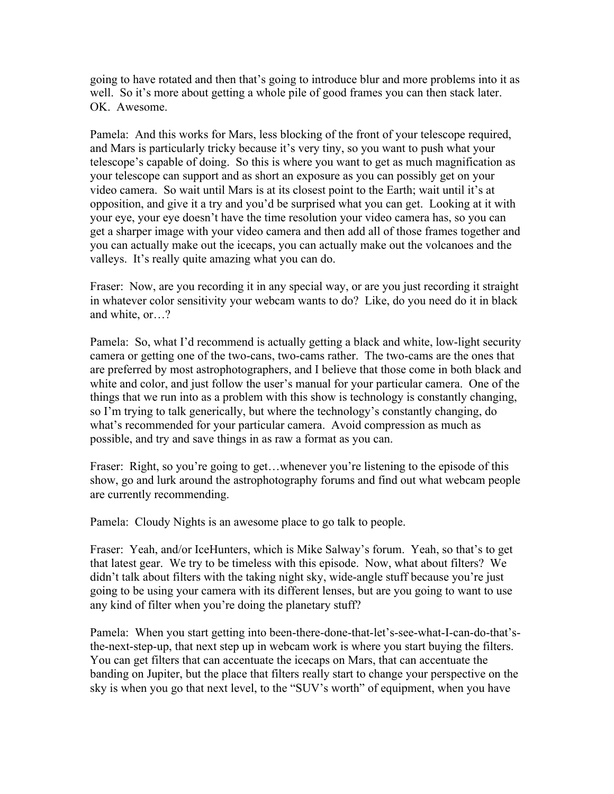going to have rotated and then that's going to introduce blur and more problems into it as well. So it's more about getting a whole pile of good frames you can then stack later. OK. Awesome.

Pamela: And this works for Mars, less blocking of the front of your telescope required, and Mars is particularly tricky because it's very tiny, so you want to push what your telescope's capable of doing. So this is where you want to get as much magnification as your telescope can support and as short an exposure as you can possibly get on your video camera. So wait until Mars is at its closest point to the Earth; wait until it's at opposition, and give it a try and you'd be surprised what you can get. Looking at it with your eye, your eye doesn't have the time resolution your video camera has, so you can get a sharper image with your video camera and then add all of those frames together and you can actually make out the icecaps, you can actually make out the volcanoes and the valleys. It's really quite amazing what you can do.

Fraser: Now, are you recording it in any special way, or are you just recording it straight in whatever color sensitivity your webcam wants to do? Like, do you need do it in black and white, or…?

Pamela: So, what I'd recommend is actually getting a black and white, low-light security camera or getting one of the two-cans, two-cams rather. The two-cams are the ones that are preferred by most astrophotographers, and I believe that those come in both black and white and color, and just follow the user's manual for your particular camera. One of the things that we run into as a problem with this show is technology is constantly changing, so I'm trying to talk generically, but where the technology's constantly changing, do what's recommended for your particular camera. Avoid compression as much as possible, and try and save things in as raw a format as you can.

Fraser: Right, so you're going to get...whenever you're listening to the episode of this show, go and lurk around the astrophotography forums and find out what webcam people are currently recommending.

Pamela: Cloudy Nights is an awesome place to go talk to people.

Fraser: Yeah, and/or IceHunters, which is Mike Salway's forum. Yeah, so that's to get that latest gear. We try to be timeless with this episode. Now, what about filters? We didn't talk about filters with the taking night sky, wide-angle stuff because you're just going to be using your camera with its different lenses, but are you going to want to use any kind of filter when you're doing the planetary stuff?

Pamela: When you start getting into been-there-done-that-let's-see-what-I-can-do-that'sthe-next-step-up, that next step up in webcam work is where you start buying the filters. You can get filters that can accentuate the icecaps on Mars, that can accentuate the banding on Jupiter, but the place that filters really start to change your perspective on the sky is when you go that next level, to the "SUV's worth" of equipment, when you have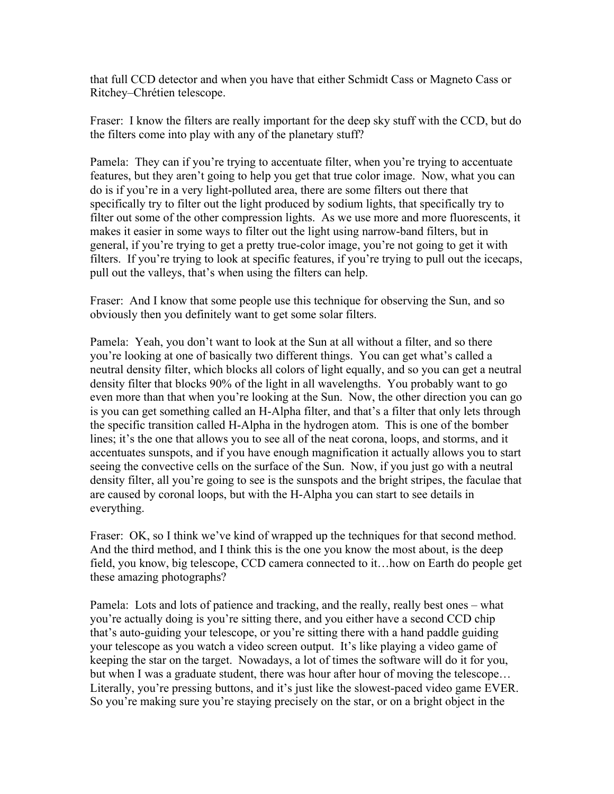that full CCD detector and when you have that either Schmidt Cass or Magneto Cass or Ritchey–Chrétien telescope.

Fraser: I know the filters are really important for the deep sky stuff with the CCD, but do the filters come into play with any of the planetary stuff?

Pamela: They can if you're trying to accentuate filter, when you're trying to accentuate features, but they aren't going to help you get that true color image. Now, what you can do is if you're in a very light-polluted area, there are some filters out there that specifically try to filter out the light produced by sodium lights, that specifically try to filter out some of the other compression lights. As we use more and more fluorescents, it makes it easier in some ways to filter out the light using narrow-band filters, but in general, if you're trying to get a pretty true-color image, you're not going to get it with filters. If you're trying to look at specific features, if you're trying to pull out the icecaps, pull out the valleys, that's when using the filters can help.

Fraser: And I know that some people use this technique for observing the Sun, and so obviously then you definitely want to get some solar filters.

Pamela: Yeah, you don't want to look at the Sun at all without a filter, and so there you're looking at one of basically two different things. You can get what's called a neutral density filter, which blocks all colors of light equally, and so you can get a neutral density filter that blocks 90% of the light in all wavelengths. You probably want to go even more than that when you're looking at the Sun. Now, the other direction you can go is you can get something called an H-Alpha filter, and that's a filter that only lets through the specific transition called H-Alpha in the hydrogen atom. This is one of the bomber lines; it's the one that allows you to see all of the neat corona, loops, and storms, and it accentuates sunspots, and if you have enough magnification it actually allows you to start seeing the convective cells on the surface of the Sun. Now, if you just go with a neutral density filter, all you're going to see is the sunspots and the bright stripes, the faculae that are caused by coronal loops, but with the H-Alpha you can start to see details in everything.

Fraser: OK, so I think we've kind of wrapped up the techniques for that second method. And the third method, and I think this is the one you know the most about, is the deep field, you know, big telescope, CCD camera connected to it…how on Earth do people get these amazing photographs?

Pamela: Lots and lots of patience and tracking, and the really, really best ones – what you're actually doing is you're sitting there, and you either have a second CCD chip that's auto-guiding your telescope, or you're sitting there with a hand paddle guiding your telescope as you watch a video screen output. It's like playing a video game of keeping the star on the target. Nowadays, a lot of times the software will do it for you, but when I was a graduate student, there was hour after hour of moving the telescope… Literally, you're pressing buttons, and it's just like the slowest-paced video game EVER. So you're making sure you're staying precisely on the star, or on a bright object in the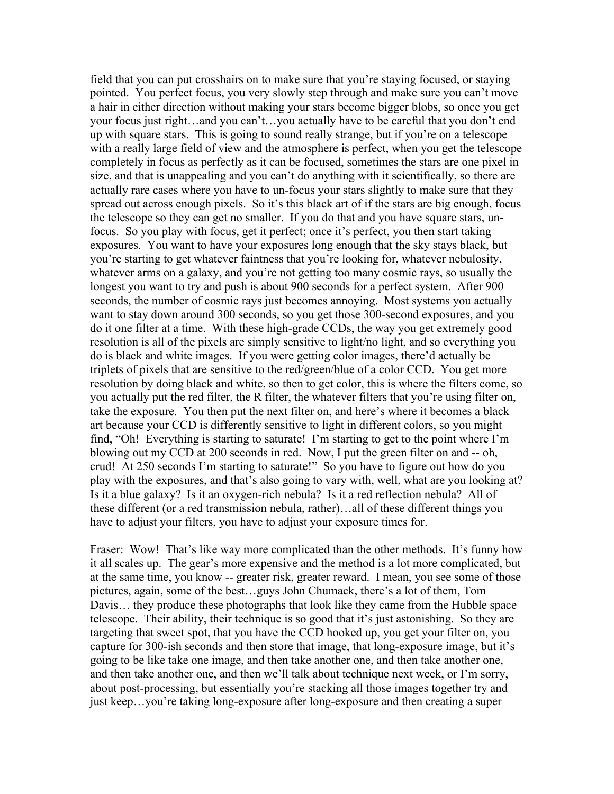field that you can put crosshairs on to make sure that you're staying focused, or staying pointed. You perfect focus, you very slowly step through and make sure you can't move a hair in either direction without making your stars become bigger blobs, so once you get your focus just right…and you can't…you actually have to be careful that you don't end up with square stars. This is going to sound really strange, but if you're on a telescope with a really large field of view and the atmosphere is perfect, when you get the telescope completely in focus as perfectly as it can be focused, sometimes the stars are one pixel in size, and that is unappealing and you can't do anything with it scientifically, so there are actually rare cases where you have to un-focus your stars slightly to make sure that they spread out across enough pixels. So it's this black art of if the stars are big enough, focus the telescope so they can get no smaller. If you do that and you have square stars, unfocus. So you play with focus, get it perfect; once it's perfect, you then start taking exposures. You want to have your exposures long enough that the sky stays black, but you're starting to get whatever faintness that you're looking for, whatever nebulosity, whatever arms on a galaxy, and you're not getting too many cosmic rays, so usually the longest you want to try and push is about 900 seconds for a perfect system. After 900 seconds, the number of cosmic rays just becomes annoying. Most systems you actually want to stay down around 300 seconds, so you get those 300-second exposures, and you do it one filter at a time. With these high-grade CCDs, the way you get extremely good resolution is all of the pixels are simply sensitive to light/no light, and so everything you do is black and white images. If you were getting color images, there'd actually be triplets of pixels that are sensitive to the red/green/blue of a color CCD. You get more resolution by doing black and white, so then to get color, this is where the filters come, so you actually put the red filter, the R filter, the whatever filters that you're using filter on, take the exposure. You then put the next filter on, and here's where it becomes a black art because your CCD is differently sensitive to light in different colors, so you might find, "Oh! Everything is starting to saturate! I'm starting to get to the point where I'm blowing out my CCD at 200 seconds in red. Now, I put the green filter on and -- oh, crud! At 250 seconds I'm starting to saturate!" So you have to figure out how do you play with the exposures, and that's also going to vary with, well, what are you looking at? Is it a blue galaxy? Is it an oxygen-rich nebula? Is it a red reflection nebula? All of these different (or a red transmission nebula, rather)…all of these different things you have to adjust your filters, you have to adjust your exposure times for.

Fraser: Wow! That's like way more complicated than the other methods. It's funny how it all scales up. The gear's more expensive and the method is a lot more complicated, but at the same time, you know -- greater risk, greater reward. I mean, you see some of those pictures, again, some of the best…guys John Chumack, there's a lot of them, Tom Davis… they produce these photographs that look like they came from the Hubble space telescope. Their ability, their technique is so good that it's just astonishing. So they are targeting that sweet spot, that you have the CCD hooked up, you get your filter on, you capture for 300-ish seconds and then store that image, that long-exposure image, but it's going to be like take one image, and then take another one, and then take another one, and then take another one, and then we'll talk about technique next week, or I'm sorry, about post-processing, but essentially you're stacking all those images together try and just keep…you're taking long-exposure after long-exposure and then creating a super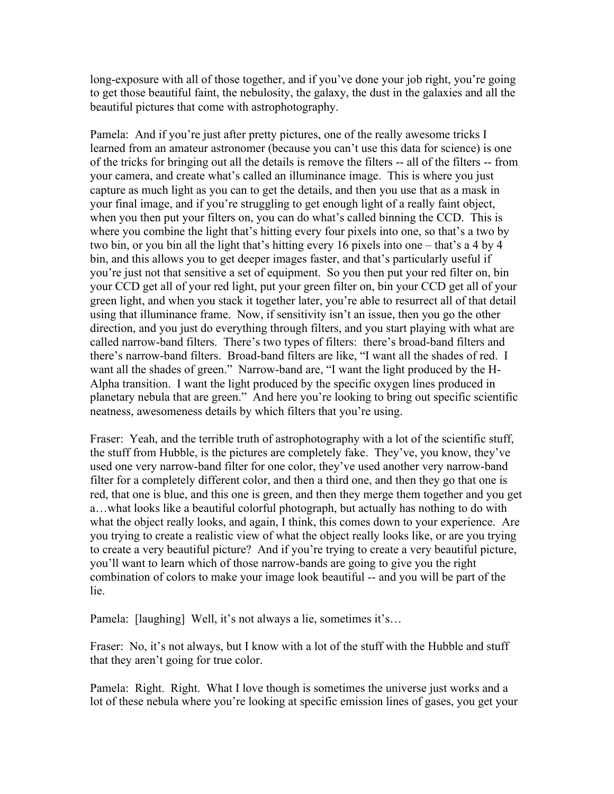long-exposure with all of those together, and if you've done your job right, you're going to get those beautiful faint, the nebulosity, the galaxy, the dust in the galaxies and all the beautiful pictures that come with astrophotography.

Pamela: And if you're just after pretty pictures, one of the really awesome tricks I learned from an amateur astronomer (because you can't use this data for science) is one of the tricks for bringing out all the details is remove the filters -- all of the filters -- from your camera, and create what's called an illuminance image. This is where you just capture as much light as you can to get the details, and then you use that as a mask in your final image, and if you're struggling to get enough light of a really faint object, when you then put your filters on, you can do what's called binning the CCD. This is where you combine the light that's hitting every four pixels into one, so that's a two by two bin, or you bin all the light that's hitting every 16 pixels into one – that's a 4 by 4 bin, and this allows you to get deeper images faster, and that's particularly useful if you're just not that sensitive a set of equipment. So you then put your red filter on, bin your CCD get all of your red light, put your green filter on, bin your CCD get all of your green light, and when you stack it together later, you're able to resurrect all of that detail using that illuminance frame. Now, if sensitivity isn't an issue, then you go the other direction, and you just do everything through filters, and you start playing with what are called narrow-band filters. There's two types of filters: there's broad-band filters and there's narrow-band filters. Broad-band filters are like, "I want all the shades of red. I want all the shades of green." Narrow-band are, "I want the light produced by the H-Alpha transition. I want the light produced by the specific oxygen lines produced in planetary nebula that are green." And here you're looking to bring out specific scientific neatness, awesomeness details by which filters that you're using.

Fraser: Yeah, and the terrible truth of astrophotography with a lot of the scientific stuff, the stuff from Hubble, is the pictures are completely fake. They've, you know, they've used one very narrow-band filter for one color, they've used another very narrow-band filter for a completely different color, and then a third one, and then they go that one is red, that one is blue, and this one is green, and then they merge them together and you get a…what looks like a beautiful colorful photograph, but actually has nothing to do with what the object really looks, and again, I think, this comes down to your experience. Are you trying to create a realistic view of what the object really looks like, or are you trying to create a very beautiful picture? And if you're trying to create a very beautiful picture, you'll want to learn which of those narrow-bands are going to give you the right combination of colors to make your image look beautiful -- and you will be part of the lie.

Pamela: [laughing] Well, it's not always a lie, sometimes it's…

Fraser: No, it's not always, but I know with a lot of the stuff with the Hubble and stuff that they aren't going for true color.

Pamela: Right. Right. What I love though is sometimes the universe just works and a lot of these nebula where you're looking at specific emission lines of gases, you get your